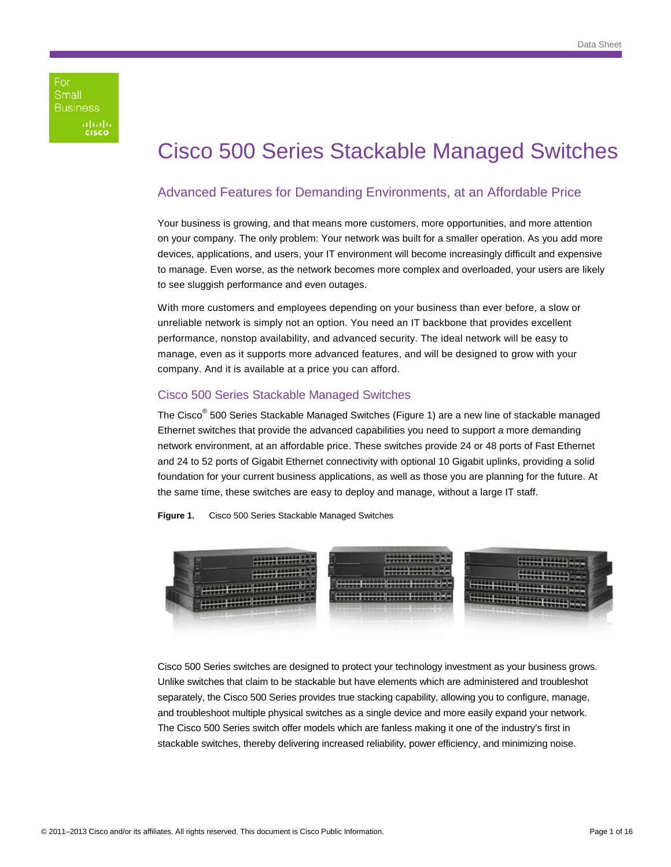For Small **Business** afnifn<br>cisco

# Cisco 500 Series Stackable Managed Switches

## Advanced Features for Demanding Environments, at an Affordable Price

Your business is growing, and that means more customers, more opportunities, and more attention on your company. The only problem: Your network was built for a smaller operation. As you add more devices, applications, and users, your IT environment will become increasingly difficult and expensive to manage. Even worse, as the network becomes more complex and overloaded, your users are likely to see sluggish performance and even outages.

With more customers and employees depending on your business than ever before, a slow or unreliable network is simply not an option. You need an IT backbone that provides excellent performance, nonstop availability, and advanced security. The ideal network will be easy to manage, even as it supports more advanced features, and will be designed to grow with your company. And it is available at a price you can afford.

## Cisco 500 Series Stackable Managed Switches

The Cisco<sup>®</sup> 500 Series Stackable Managed Switches (Figure 1) are a new line of stackable managed Ethernet switches that provide the advanced capabilities you need to support a more demanding network environment, at an affordable price. These switches provide 24 or 48 ports of Fast Ethernet and 24 to 52 ports of Gigabit Ethernet connectivity with optional 10 Gigabit uplinks, providing a solid foundation for your current business applications, as well as those you are planning for the future. At the same time, these switches are easy to deploy and manage, without a large IT staff.





Cisco 500 Series switches are designed to protect your technology investment as your business grows. Unlike switches that claim to be stackable but have elements which are administered and troubleshot separately, the Cisco 500 Series provides true stacking capability, allowing you to configure, manage, and troubleshoot multiple physical switches as a single device and more easily expand your network. The Cisco 500 Series switch offer models which are fanless making it one of the industry's first in stackable switches, thereby delivering increased reliability, power efficiency, and minimizing noise.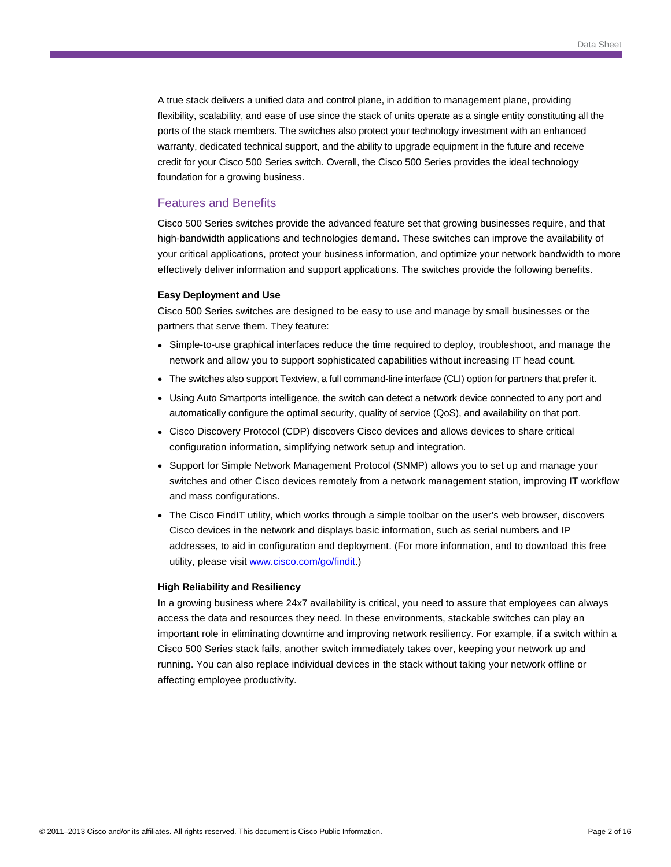A true stack delivers a unified data and control plane, in addition to management plane, providing flexibility, scalability, and ease of use since the stack of units operate as a single entity constituting all the ports of the stack members. The switches also protect your technology investment with an enhanced warranty, dedicated technical support, and the ability to upgrade equipment in the future and receive credit for your Cisco 500 Series switch. Overall, the Cisco 500 Series provides the ideal technology foundation for a growing business.

## Features and Benefits

Cisco 500 Series switches provide the advanced feature set that growing businesses require, and that high-bandwidth applications and technologies demand. These switches can improve the availability of your critical applications, protect your business information, and optimize your network bandwidth to more effectively deliver information and support applications. The switches provide the following benefits.

#### **Easy Deployment and Use**

Cisco 500 Series switches are designed to be easy to use and manage by small businesses or the partners that serve them. They feature:

- Simple-to-use graphical interfaces reduce the time required to deploy, troubleshoot, and manage the network and allow you to support sophisticated capabilities without increasing IT head count.
- The switches also support Textview, a full command-line interface (CLI) option for partners that prefer it.
- Using Auto Smartports intelligence, the switch can detect a network device connected to any port and automatically configure the optimal security, quality of service (QoS), and availability on that port.
- Cisco Discovery Protocol (CDP) discovers Cisco devices and allows devices to share critical configuration information, simplifying network setup and integration.
- Support for Simple Network Management Protocol (SNMP) allows you to set up and manage your switches and other Cisco devices remotely from a network management station, improving IT workflow and mass configurations.
- The Cisco FindIT utility, which works through a simple toolbar on the user's web browser, discovers Cisco devices in the network and displays basic information, such as serial numbers and IP addresses, to aid in configuration and deployment. (For more information, and to download this free utility, please visit [www.cisco.com/go/findit](http://www.cisco.com/go/findit).)

#### **High Reliability and Resiliency**

In a growing business where 24x7 availability is critical, you need to assure that employees can always access the data and resources they need. In these environments, stackable switches can play an important role in eliminating downtime and improving network resiliency. For example, if a switch within a Cisco 500 Series stack fails, another switch immediately takes over, keeping your network up and running. You can also replace individual devices in the stack without taking your network offline or affecting employee productivity.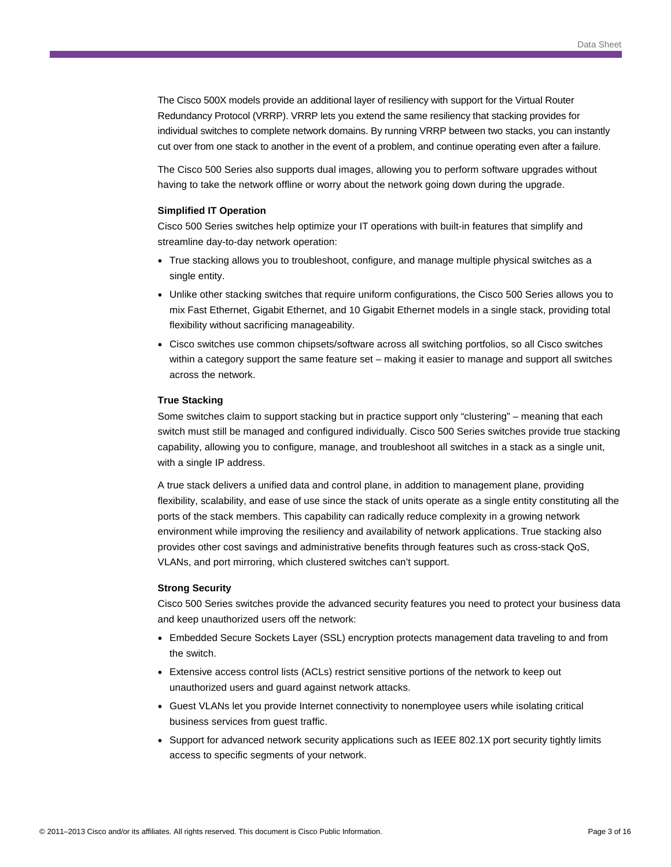The Cisco 500X models provide an additional layer of resiliency with support for the Virtual Router Redundancy Protocol (VRRP). VRRP lets you extend the same resiliency that stacking provides for individual switches to complete network domains. By running VRRP between two stacks, you can instantly cut over from one stack to another in the event of a problem, and continue operating even after a failure.

The Cisco 500 Series also supports dual images, allowing you to perform software upgrades without having to take the network offline or worry about the network going down during the upgrade.

#### **Simplified IT Operation**

Cisco 500 Series switches help optimize your IT operations with built-in features that simplify and streamline day-to-day network operation:

- True stacking allows you to troubleshoot, configure, and manage multiple physical switches as a single entity.
- Unlike other stacking switches that require uniform configurations, the Cisco 500 Series allows you to mix Fast Ethernet, Gigabit Ethernet, and 10 Gigabit Ethernet models in a single stack, providing total flexibility without sacrificing manageability.
- Cisco switches use common chipsets/software across all switching portfolios, so all Cisco switches within a category support the same feature set – making it easier to manage and support all switches across the network.

#### **True Stacking**

Some switches claim to support stacking but in practice support only "clustering" – meaning that each switch must still be managed and configured individually. Cisco 500 Series switches provide true stacking capability, allowing you to configure, manage, and troubleshoot all switches in a stack as a single unit, with a single IP address.

A true stack delivers a unified data and control plane, in addition to management plane, providing flexibility, scalability, and ease of use since the stack of units operate as a single entity constituting all the ports of the stack members. This capability can radically reduce complexity in a growing network environment while improving the resiliency and availability of network applications. True stacking also provides other cost savings and administrative benefits through features such as cross-stack QoS, VLANs, and port mirroring, which clustered switches can't support.

#### **Strong Security**

Cisco 500 Series switches provide the advanced security features you need to protect your business data and keep unauthorized users off the network:

- Embedded Secure Sockets Layer (SSL) encryption protects management data traveling to and from the switch.
- Extensive access control lists (ACLs) restrict sensitive portions of the network to keep out unauthorized users and guard against network attacks.
- Guest VLANs let you provide Internet connectivity to nonemployee users while isolating critical business services from guest traffic.
- Support for advanced network security applications such as IEEE 802.1X port security tightly limits access to specific segments of your network.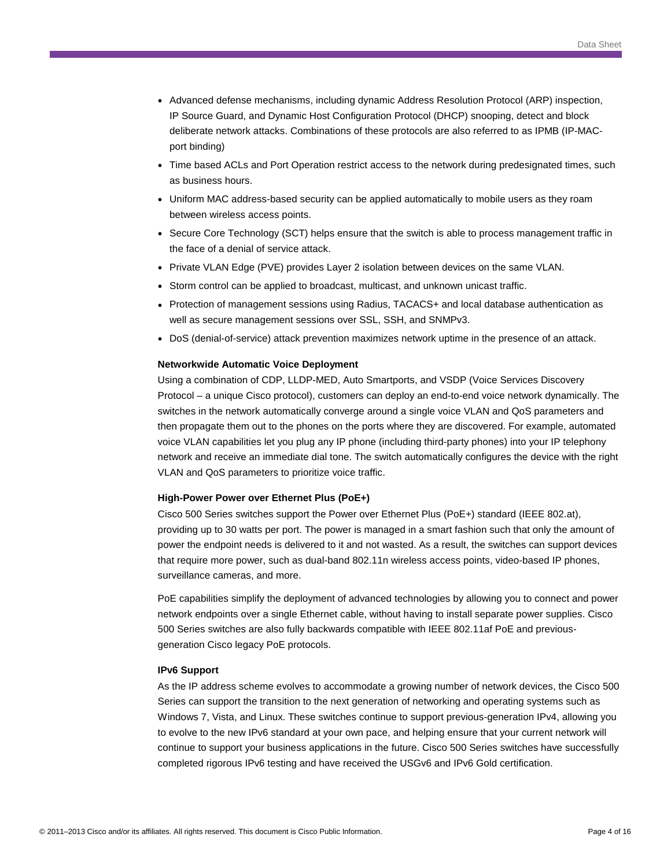- Advanced defense mechanisms, including dynamic Address Resolution Protocol (ARP) inspection, IP Source Guard, and Dynamic Host Configuration Protocol (DHCP) snooping, detect and block deliberate network attacks. Combinations of these protocols are also referred to as IPMB (IP-MACport binding)
- Time based ACLs and Port Operation restrict access to the network during predesignated times, such as business hours.
- Uniform MAC address-based security can be applied automatically to mobile users as they roam between wireless access points.
- Secure Core Technology (SCT) helps ensure that the switch is able to process management traffic in the face of a denial of service attack.
- Private VLAN Edge (PVE) provides Layer 2 isolation between devices on the same VLAN.
- Storm control can be applied to broadcast, multicast, and unknown unicast traffic.
- Protection of management sessions using Radius, TACACS+ and local database authentication as well as secure management sessions over SSL, SSH, and SNMPv3.
- DoS (denial-of-service) attack prevention maximizes network uptime in the presence of an attack.

#### **Networkwide Automatic Voice Deployment**

Using a combination of CDP, LLDP-MED, Auto Smartports, and VSDP (Voice Services Discovery Protocol – a unique Cisco protocol), customers can deploy an end-to-end voice network dynamically. The switches in the network automatically converge around a single voice VLAN and QoS parameters and then propagate them out to the phones on the ports where they are discovered. For example, automated voice VLAN capabilities let you plug any IP phone (including third-party phones) into your IP telephony network and receive an immediate dial tone. The switch automatically configures the device with the right VLAN and QoS parameters to prioritize voice traffic.

#### **High-Power Power over Ethernet Plus (PoE+)**

Cisco 500 Series switches support the Power over Ethernet Plus (PoE+) standard (IEEE 802.at), providing up to 30 watts per port. The power is managed in a smart fashion such that only the amount of power the endpoint needs is delivered to it and not wasted. As a result, the switches can support devices that require more power, such as dual-band 802.11n wireless access points, video-based IP phones, surveillance cameras, and more.

PoE capabilities simplify the deployment of advanced technologies by allowing you to connect and power network endpoints over a single Ethernet cable, without having to install separate power supplies. Cisco 500 Series switches are also fully backwards compatible with IEEE 802.11af PoE and previousgeneration Cisco legacy PoE protocols.

#### **IPv6 Support**

As the IP address scheme evolves to accommodate a growing number of network devices, the Cisco 500 Series can support the transition to the next generation of networking and operating systems such as Windows 7, Vista, and Linux. These switches continue to support previous-generation IPv4, allowing you to evolve to the new IPv6 standard at your own pace, and helping ensure that your current network will continue to support your business applications in the future. Cisco 500 Series switches have successfully completed rigorous IPv6 testing and have received the USGv6 and IPv6 Gold certification.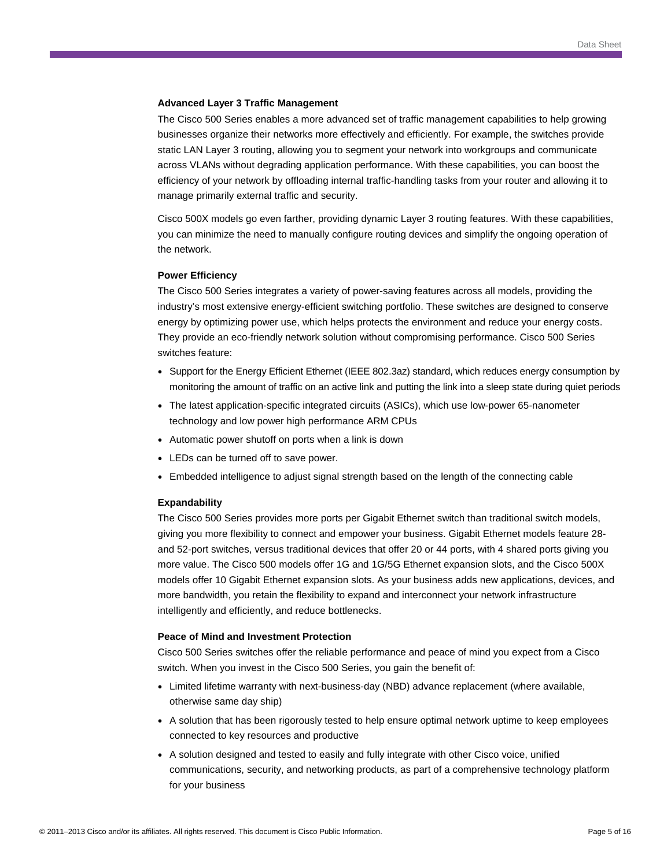#### **Advanced Layer 3 Traffic Management**

The Cisco 500 Series enables a more advanced set of traffic management capabilities to help growing businesses organize their networks more effectively and efficiently. For example, the switches provide static LAN Layer 3 routing, allowing you to segment your network into workgroups and communicate across VLANs without degrading application performance. With these capabilities, you can boost the efficiency of your network by offloading internal traffic-handling tasks from your router and allowing it to manage primarily external traffic and security.

Cisco 500X models go even farther, providing dynamic Layer 3 routing features. With these capabilities, you can minimize the need to manually configure routing devices and simplify the ongoing operation of the network.

#### **Power Efficiency**

The Cisco 500 Series integrates a variety of power-saving features across all models, providing the industry's most extensive energy-efficient switching portfolio. These switches are designed to conserve energy by optimizing power use, which helps protects the environment and reduce your energy costs. They provide an eco-friendly network solution without compromising performance. Cisco 500 Series switches feature:

- Support for the Energy Efficient Ethernet (IEEE 802.3az) standard, which reduces energy consumption by monitoring the amount of traffic on an active link and putting the link into a sleep state during quiet periods
- The latest application-specific integrated circuits (ASICs), which use low-power 65-nanometer technology and low power high performance ARM CPUs
- Automatic power shutoff on ports when a link is down
- LEDs can be turned off to save power.
- Embedded intelligence to adjust signal strength based on the length of the connecting cable

#### **Expandability**

The Cisco 500 Series provides more ports per Gigabit Ethernet switch than traditional switch models, giving you more flexibility to connect and empower your business. Gigabit Ethernet models feature 28 and 52-port switches, versus traditional devices that offer 20 or 44 ports, with 4 shared ports giving you more value. The Cisco 500 models offer 1G and 1G/5G Ethernet expansion slots, and the Cisco 500X models offer 10 Gigabit Ethernet expansion slots. As your business adds new applications, devices, and more bandwidth, you retain the flexibility to expand and interconnect your network infrastructure intelligently and efficiently, and reduce bottlenecks.

#### **Peace of Mind and Investment Protection**

Cisco 500 Series switches offer the reliable performance and peace of mind you expect from a Cisco switch. When you invest in the Cisco 500 Series, you gain the benefit of:

- Limited lifetime warranty with next-business-day (NBD) advance replacement (where available, otherwise same day ship)
- A solution that has been rigorously tested to help ensure optimal network uptime to keep employees connected to key resources and productive
- A solution designed and tested to easily and fully integrate with other Cisco voice, unified communications, security, and networking products, as part of a comprehensive technology platform for your business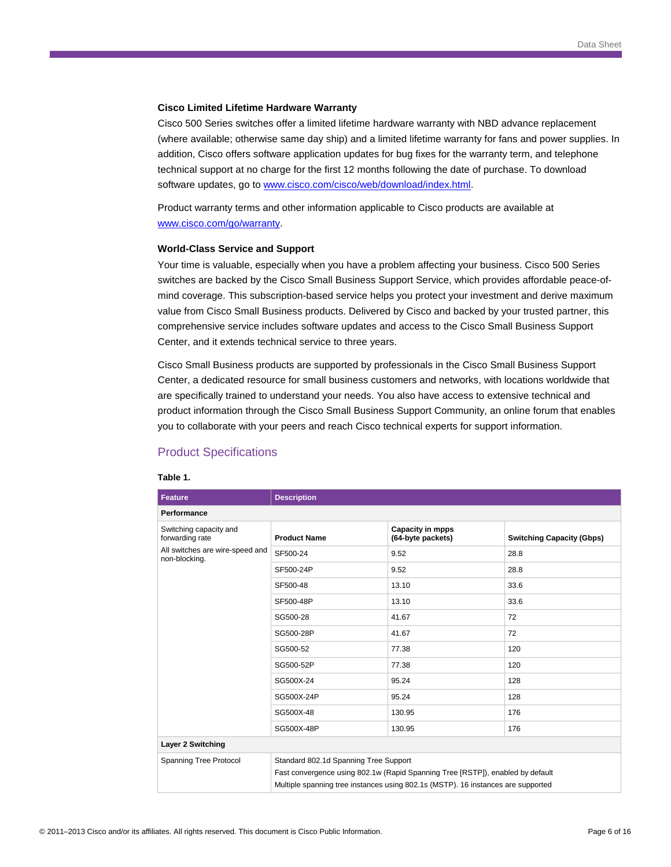#### **Cisco Limited Lifetime Hardware Warranty**

Cisco 500 Series switches offer a limited lifetime hardware warranty with NBD advance replacement (where available; otherwise same day ship) and a limited lifetime warranty for fans and power supplies. In addition, Cisco offers software application updates for bug fixes for the warranty term, and telephone technical support at no charge for the first 12 months following the date of purchase. To download software updates, go to [www.cisco.com/cisco/web/download/index.html](http://www.cisco.com/cisco/web/download/index.html).

Product warranty terms and other information applicable to Cisco products are available at [www.cisco.com/go/warranty](http://www.cisco.com/go/warranty).

#### **World-Class Service and Support**

Your time is valuable, especially when you have a problem affecting your business. Cisco 500 Series switches are backed by the Cisco Small Business Support Service, which provides affordable peace-ofmind coverage. This subscription-based service helps you protect your investment and derive maximum value from Cisco Small Business products. Delivered by Cisco and backed by your trusted partner, this comprehensive service includes software updates and access to the Cisco Small Business Support Center, and it extends technical service to three years.

Cisco Small Business products are supported by professionals in the Cisco Small Business Support Center, a dedicated resource for small business customers and networks, with locations worldwide that are specifically trained to understand your needs. You also have access to extensive technical and product information through the Cisco Small Business Support Community, an online forum that enables you to collaborate with your peers and reach Cisco technical experts for support information.

## Product Specifications

#### **Table 1.**

| <b>Feature</b>                                   | <b>Description</b>                                                                                                                                                                                          |                                       |                                  |  |
|--------------------------------------------------|-------------------------------------------------------------------------------------------------------------------------------------------------------------------------------------------------------------|---------------------------------------|----------------------------------|--|
| Performance                                      |                                                                                                                                                                                                             |                                       |                                  |  |
| Switching capacity and<br>forwarding rate        | <b>Product Name</b>                                                                                                                                                                                         | Capacity in mpps<br>(64-byte packets) | <b>Switching Capacity (Gbps)</b> |  |
| All switches are wire-speed and<br>non-blocking. | SF500-24                                                                                                                                                                                                    | 9.52                                  | 28.8                             |  |
|                                                  | SF500-24P                                                                                                                                                                                                   | 9.52                                  | 28.8                             |  |
|                                                  | SF500-48                                                                                                                                                                                                    | 13.10                                 | 33.6                             |  |
|                                                  | SF500-48P                                                                                                                                                                                                   | 13.10                                 | 33.6                             |  |
|                                                  | SG500-28                                                                                                                                                                                                    | 41.67                                 | 72                               |  |
|                                                  | SG500-28P                                                                                                                                                                                                   | 41.67                                 | 72                               |  |
|                                                  | SG500-52                                                                                                                                                                                                    | 77.38                                 | 120                              |  |
|                                                  | SG500-52P                                                                                                                                                                                                   | 77.38                                 | 120                              |  |
|                                                  | SG500X-24                                                                                                                                                                                                   | 95.24                                 | 128                              |  |
|                                                  | SG500X-24P                                                                                                                                                                                                  | 95.24                                 | 128                              |  |
|                                                  | SG500X-48                                                                                                                                                                                                   | 130.95                                | 176                              |  |
|                                                  | SG500X-48P                                                                                                                                                                                                  | 130.95                                | 176                              |  |
| Layer 2 Switching                                |                                                                                                                                                                                                             |                                       |                                  |  |
| Spanning Tree Protocol                           | Standard 802.1d Spanning Tree Support<br>Fast convergence using 802.1w (Rapid Spanning Tree [RSTP]), enabled by default<br>Multiple spanning tree instances using 802.1s (MSTP). 16 instances are supported |                                       |                                  |  |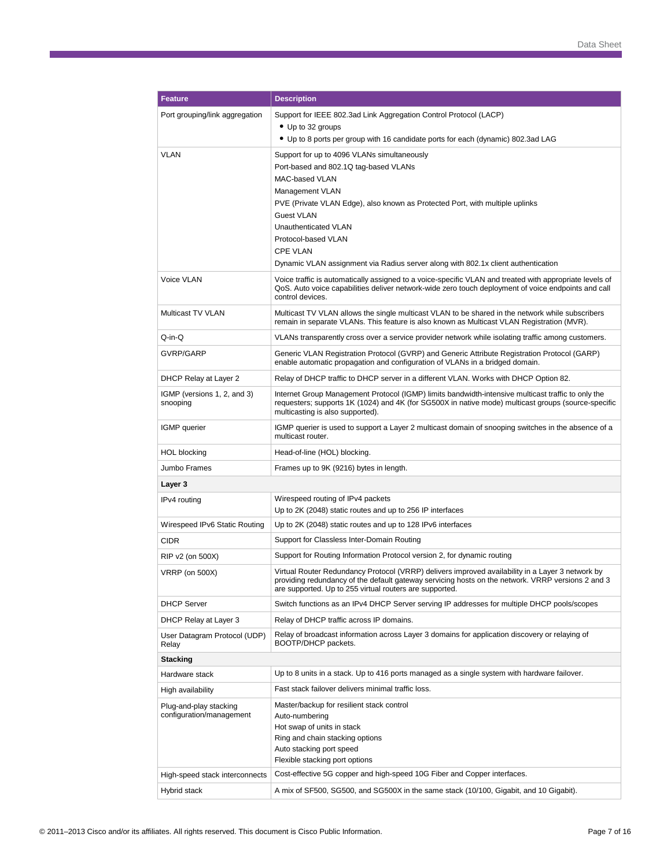| <b>Feature</b>                                     | <b>Description</b>                                                                                                                                                                                                                                               |
|----------------------------------------------------|------------------------------------------------------------------------------------------------------------------------------------------------------------------------------------------------------------------------------------------------------------------|
| Port grouping/link aggregation                     | Support for IEEE 802.3ad Link Aggregation Control Protocol (LACP)                                                                                                                                                                                                |
|                                                    | • Up to 32 groups                                                                                                                                                                                                                                                |
|                                                    | • Up to 8 ports per group with 16 candidate ports for each (dynamic) 802.3ad LAG                                                                                                                                                                                 |
| VLAN                                               | Support for up to 4096 VLANs simultaneously<br>Port-based and 802.1Q tag-based VLANs                                                                                                                                                                             |
|                                                    | MAC-based VLAN                                                                                                                                                                                                                                                   |
|                                                    | Management VLAN                                                                                                                                                                                                                                                  |
|                                                    | PVE (Private VLAN Edge), also known as Protected Port, with multiple uplinks                                                                                                                                                                                     |
|                                                    | <b>Guest VLAN</b><br>Unauthenticated VLAN                                                                                                                                                                                                                        |
|                                                    | Protocol-based VLAN                                                                                                                                                                                                                                              |
|                                                    | <b>CPE VLAN</b>                                                                                                                                                                                                                                                  |
|                                                    | Dynamic VLAN assignment via Radius server along with 802.1x client authentication                                                                                                                                                                                |
| Voice VLAN                                         | Voice traffic is automatically assigned to a voice-specific VLAN and treated with appropriate levels of<br>QoS. Auto voice capabilities deliver network-wide zero touch deployment of voice endpoints and call<br>control devices.                               |
| Multicast TV VLAN                                  | Multicast TV VLAN allows the single multicast VLAN to be shared in the network while subscribers<br>remain in separate VLANs. This feature is also known as Multicast VLAN Registration (MVR).                                                                   |
| Q-in-Q                                             | VLANs transparently cross over a service provider network while isolating traffic among customers.                                                                                                                                                               |
| GVRP/GARP                                          | Generic VLAN Registration Protocol (GVRP) and Generic Attribute Registration Protocol (GARP)<br>enable automatic propagation and configuration of VLANs in a bridged domain.                                                                                     |
| DHCP Relay at Layer 2                              | Relay of DHCP traffic to DHCP server in a different VLAN. Works with DHCP Option 82.                                                                                                                                                                             |
| IGMP (versions 1, 2, and 3)<br>snooping            | Internet Group Management Protocol (IGMP) limits bandwidth-intensive multicast traffic to only the<br>requesters; supports 1K (1024) and 4K (for SG500X in native mode) multicast groups (source-specific<br>multicasting is also supported).                    |
| IGMP querier                                       | IGMP querier is used to support a Layer 2 multicast domain of snooping switches in the absence of a<br>multicast router.                                                                                                                                         |
| HOL blocking                                       | Head-of-line (HOL) blocking.                                                                                                                                                                                                                                     |
| Jumbo Frames                                       | Frames up to 9K (9216) bytes in length.                                                                                                                                                                                                                          |
| Layer 3                                            |                                                                                                                                                                                                                                                                  |
| IPv4 routing                                       | Wirespeed routing of IPv4 packets<br>Up to 2K (2048) static routes and up to 256 IP interfaces                                                                                                                                                                   |
| Wirespeed IPv6 Static Routing                      | Up to 2K (2048) static routes and up to 128 IPv6 interfaces                                                                                                                                                                                                      |
| CIDR                                               | Support for Classless Inter-Domain Routing                                                                                                                                                                                                                       |
| RIP v2 (on 500X)                                   | Support for Routing Information Protocol version 2, for dynamic routing                                                                                                                                                                                          |
| VRRP (on 500X)                                     | Virtual Router Redundancy Protocol (VRRP) delivers improved availability in a Layer 3 network by<br>providing redundancy of the default gateway servicing hosts on the network. VRRP versions 2 and 3<br>are supported. Up to 255 virtual routers are supported. |
| <b>DHCP Server</b>                                 | Switch functions as an IPv4 DHCP Server serving IP addresses for multiple DHCP pools/scopes                                                                                                                                                                      |
| DHCP Relay at Layer 3                              | Relay of DHCP traffic across IP domains.                                                                                                                                                                                                                         |
| User Datagram Protocol (UDP)<br>Relay              | Relay of broadcast information across Layer 3 domains for application discovery or relaying of<br>BOOTP/DHCP packets.                                                                                                                                            |
| Stacking                                           |                                                                                                                                                                                                                                                                  |
| Hardware stack                                     | Up to 8 units in a stack. Up to 416 ports managed as a single system with hardware failover.                                                                                                                                                                     |
| High availability                                  | Fast stack failover delivers minimal traffic loss.                                                                                                                                                                                                               |
| Plug-and-play stacking<br>configuration/management | Master/backup for resilient stack control<br>Auto-numbering<br>Hot swap of units in stack<br>Ring and chain stacking options<br>Auto stacking port speed                                                                                                         |
|                                                    | Flexible stacking port options                                                                                                                                                                                                                                   |
| High-speed stack interconnects                     | Cost-effective 5G copper and high-speed 10G Fiber and Copper interfaces.                                                                                                                                                                                         |
| Hybrid stack                                       | A mix of SF500, SG500, and SG500X in the same stack (10/100, Gigabit, and 10 Gigabit).                                                                                                                                                                           |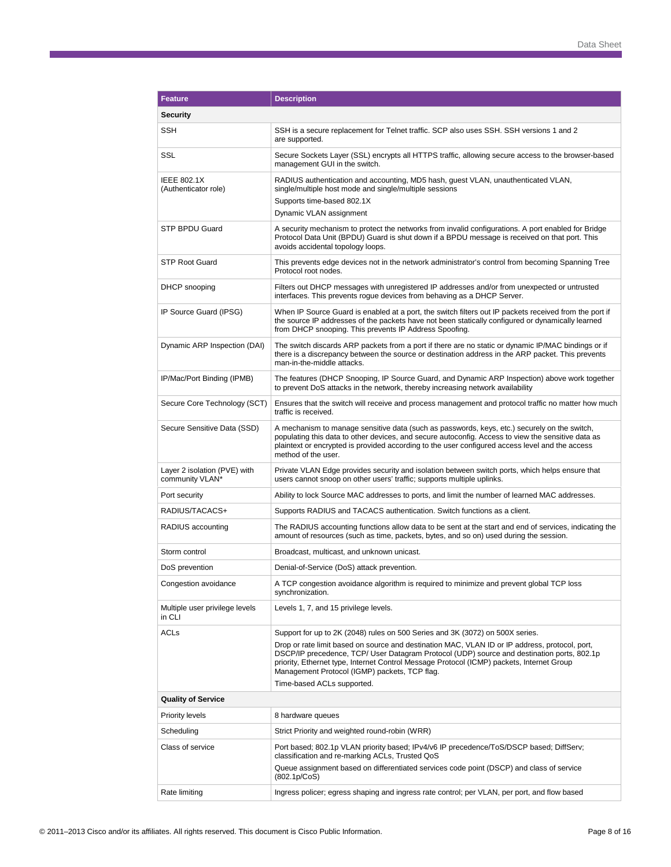| <b>Feature</b>                                  | <b>Description</b>                                                                                                                                                                                                                                                                                                                                                                                                                                        |
|-------------------------------------------------|-----------------------------------------------------------------------------------------------------------------------------------------------------------------------------------------------------------------------------------------------------------------------------------------------------------------------------------------------------------------------------------------------------------------------------------------------------------|
| Security                                        |                                                                                                                                                                                                                                                                                                                                                                                                                                                           |
| SSH                                             | SSH is a secure replacement for Telnet traffic. SCP also uses SSH. SSH versions 1 and 2<br>are supported.                                                                                                                                                                                                                                                                                                                                                 |
| SSL                                             | Secure Sockets Layer (SSL) encrypts all HTTPS traffic, allowing secure access to the browser-based<br>management GUI in the switch.                                                                                                                                                                                                                                                                                                                       |
| <b>IEEE 802.1X</b><br>(Authenticator role)      | RADIUS authentication and accounting, MD5 hash, guest VLAN, unauthenticated VLAN,<br>single/multiple host mode and single/multiple sessions<br>Supports time-based 802.1X<br>Dynamic VLAN assignment                                                                                                                                                                                                                                                      |
| STP BPDU Guard                                  | A security mechanism to protect the networks from invalid configurations. A port enabled for Bridge<br>Protocol Data Unit (BPDU) Guard is shut down if a BPDU message is received on that port. This<br>avoids accidental topology loops.                                                                                                                                                                                                                 |
| <b>STP Root Guard</b>                           | This prevents edge devices not in the network administrator's control from becoming Spanning Tree<br>Protocol root nodes.                                                                                                                                                                                                                                                                                                                                 |
| DHCP snooping                                   | Filters out DHCP messages with unregistered IP addresses and/or from unexpected or untrusted<br>interfaces. This prevents rogue devices from behaving as a DHCP Server.                                                                                                                                                                                                                                                                                   |
| IP Source Guard (IPSG)                          | When IP Source Guard is enabled at a port, the switch filters out IP packets received from the port if<br>the source IP addresses of the packets have not been statically configured or dynamically learned<br>from DHCP snooping. This prevents IP Address Spoofing.                                                                                                                                                                                     |
| Dynamic ARP Inspection (DAI)                    | The switch discards ARP packets from a port if there are no static or dynamic IP/MAC bindings or if<br>there is a discrepancy between the source or destination address in the ARP packet. This prevents<br>man-in-the-middle attacks.                                                                                                                                                                                                                    |
| IP/Mac/Port Binding (IPMB)                      | The features (DHCP Snooping, IP Source Guard, and Dynamic ARP Inspection) above work together<br>to prevent DoS attacks in the network, thereby increasing network availability                                                                                                                                                                                                                                                                           |
| Secure Core Technology (SCT)                    | Ensures that the switch will receive and process management and protocol traffic no matter how much<br>traffic is received.                                                                                                                                                                                                                                                                                                                               |
| Secure Sensitive Data (SSD)                     | A mechanism to manage sensitive data (such as passwords, keys, etc.) securely on the switch,<br>populating this data to other devices, and secure autoconfig. Access to view the sensitive data as<br>plaintext or encrypted is provided according to the user configured access level and the access<br>method of the user.                                                                                                                              |
| Layer 2 isolation (PVE) with<br>community VLAN* | Private VLAN Edge provides security and isolation between switch ports, which helps ensure that<br>users cannot snoop on other users' traffic; supports multiple uplinks.                                                                                                                                                                                                                                                                                 |
| Port security                                   | Ability to lock Source MAC addresses to ports, and limit the number of learned MAC addresses.                                                                                                                                                                                                                                                                                                                                                             |
| RADIUS/TACACS+                                  | Supports RADIUS and TACACS authentication. Switch functions as a client.                                                                                                                                                                                                                                                                                                                                                                                  |
| RADIUS accounting                               | The RADIUS accounting functions allow data to be sent at the start and end of services, indicating the<br>amount of resources (such as time, packets, bytes, and so on) used during the session.                                                                                                                                                                                                                                                          |
| Storm control                                   | Broadcast, multicast, and unknown unicast.                                                                                                                                                                                                                                                                                                                                                                                                                |
| DoS prevention                                  | Denial-of-Service (DoS) attack prevention.                                                                                                                                                                                                                                                                                                                                                                                                                |
| Congestion avoidance                            | A TCP congestion avoidance algorithm is required to minimize and prevent global TCP loss<br>synchronization.                                                                                                                                                                                                                                                                                                                                              |
| Multiple user privilege levels<br>in CLI        | Levels 1, 7, and 15 privilege levels.                                                                                                                                                                                                                                                                                                                                                                                                                     |
| ACLs                                            | Support for up to 2K (2048) rules on 500 Series and 3K (3072) on 500X series.<br>Drop or rate limit based on source and destination MAC, VLAN ID or IP address, protocol, port,<br>DSCP/IP precedence, TCP/ User Datagram Protocol (UDP) source and destination ports, 802.1p<br>priority, Ethernet type, Internet Control Message Protocol (ICMP) packets, Internet Group<br>Management Protocol (IGMP) packets, TCP flag.<br>Time-based ACLs supported. |
| <b>Quality of Service</b>                       |                                                                                                                                                                                                                                                                                                                                                                                                                                                           |
| Priority levels                                 | 8 hardware queues                                                                                                                                                                                                                                                                                                                                                                                                                                         |
| Scheduling                                      | Strict Priority and weighted round-robin (WRR)                                                                                                                                                                                                                                                                                                                                                                                                            |
| Class of service                                | Port based; 802.1p VLAN priority based; IPv4/v6 IP precedence/ToS/DSCP based; DiffServ;<br>classification and re-marking ACLs, Trusted QoS                                                                                                                                                                                                                                                                                                                |
|                                                 | Queue assignment based on differentiated services code point (DSCP) and class of service<br>(802.1p/CoS)                                                                                                                                                                                                                                                                                                                                                  |
| Rate limiting                                   | Ingress policer; egress shaping and ingress rate control; per VLAN, per port, and flow based                                                                                                                                                                                                                                                                                                                                                              |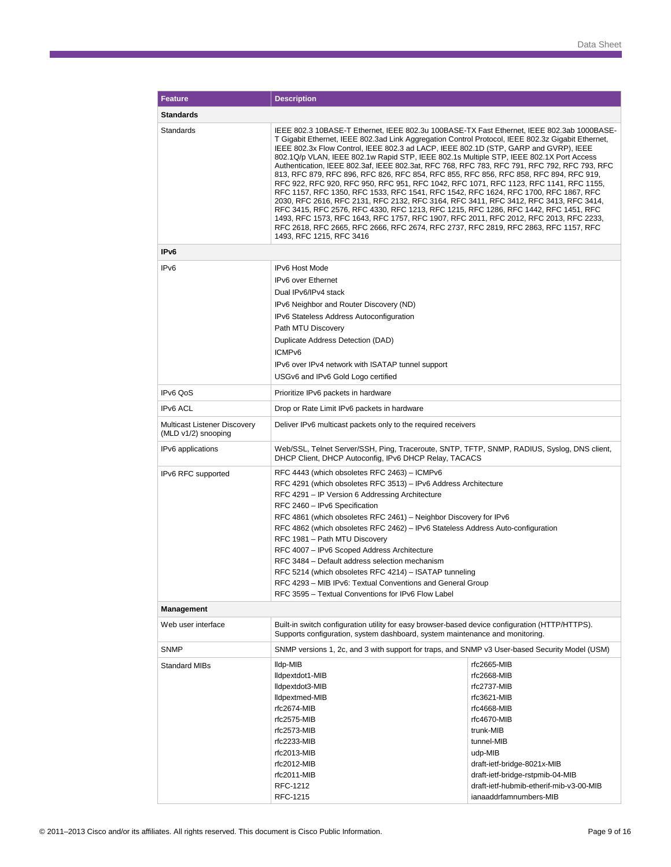| <b>Feature</b>                                      | <b>Description</b>                                                                                                                                                                                                                                                                                                                                                                                                                                                                                                                                                                                                                                                                                                                                                                                                                                                                                                                                                                                                                                                                                                                                      |                                                                                                                                                                                                                                            |  |  |
|-----------------------------------------------------|---------------------------------------------------------------------------------------------------------------------------------------------------------------------------------------------------------------------------------------------------------------------------------------------------------------------------------------------------------------------------------------------------------------------------------------------------------------------------------------------------------------------------------------------------------------------------------------------------------------------------------------------------------------------------------------------------------------------------------------------------------------------------------------------------------------------------------------------------------------------------------------------------------------------------------------------------------------------------------------------------------------------------------------------------------------------------------------------------------------------------------------------------------|--------------------------------------------------------------------------------------------------------------------------------------------------------------------------------------------------------------------------------------------|--|--|
| Standards                                           |                                                                                                                                                                                                                                                                                                                                                                                                                                                                                                                                                                                                                                                                                                                                                                                                                                                                                                                                                                                                                                                                                                                                                         |                                                                                                                                                                                                                                            |  |  |
| Standards                                           | IEEE 802.3 10BASE-T Ethernet, IEEE 802.3u 100BASE-TX Fast Ethernet, IEEE 802.3ab 1000BASE-<br>T Gigabit Ethernet, IEEE 802.3ad Link Aggregation Control Protocol, IEEE 802.3z Gigabit Ethernet,<br>IEEE 802.3x Flow Control, IEEE 802.3 ad LACP, IEEE 802.1D (STP, GARP and GVRP), IEEE<br>802.1Q/p VLAN, IEEE 802.1w Rapid STP, IEEE 802.1s Multiple STP, IEEE 802.1X Port Access<br>Authentication, IEEE 802.3af, IEEE 802.3at, RFC 768, RFC 783, RFC 791, RFC 792, RFC 793, RFC<br>813, RFC 879, RFC 896, RFC 826, RFC 854, RFC 855, RFC 856, RFC 858, RFC 894, RFC 919,<br>RFC 922, RFC 920, RFC 950, RFC 951, RFC 1042, RFC 1071, RFC 1123, RFC 1141, RFC 1155,<br>RFC 1157, RFC 1350, RFC 1533, RFC 1541, RFC 1542, RFC 1624, RFC 1700, RFC 1867, RFC<br>2030, RFC 2616, RFC 2131, RFC 2132, RFC 3164, RFC 3411, RFC 3412, RFC 3413, RFC 3414,<br>RFC 3415, RFC 2576, RFC 4330, RFC 1213, RFC 1215, RFC 1286, RFC 1442, RFC 1451, RFC<br>1493, RFC 1573, RFC 1643, RFC 1757, RFC 1907, RFC 2011, RFC 2012, RFC 2013, RFC 2233,<br>RFC 2618, RFC 2665, RFC 2666, RFC 2674, RFC 2737, RFC 2819, RFC 2863, RFC 1157, RFC<br>1493, RFC 1215, RFC 3416 |                                                                                                                                                                                                                                            |  |  |
| IPv6                                                |                                                                                                                                                                                                                                                                                                                                                                                                                                                                                                                                                                                                                                                                                                                                                                                                                                                                                                                                                                                                                                                                                                                                                         |                                                                                                                                                                                                                                            |  |  |
| IP <sub>v6</sub>                                    | IPv6 Host Mode<br>IPv6 over Ethernet<br>Dual IPv6/IPv4 stack<br>IPv6 Neighbor and Router Discovery (ND)<br>IPv6 Stateless Address Autoconfiguration<br>Path MTU Discovery<br>Duplicate Address Detection (DAD)<br>ICMP <sub>v6</sub><br>IPv6 over IPv4 network with ISATAP tunnel support                                                                                                                                                                                                                                                                                                                                                                                                                                                                                                                                                                                                                                                                                                                                                                                                                                                               |                                                                                                                                                                                                                                            |  |  |
|                                                     | USGv6 and IPv6 Gold Logo certified                                                                                                                                                                                                                                                                                                                                                                                                                                                                                                                                                                                                                                                                                                                                                                                                                                                                                                                                                                                                                                                                                                                      |                                                                                                                                                                                                                                            |  |  |
| IPv6 QoS                                            | Prioritize IPv6 packets in hardware                                                                                                                                                                                                                                                                                                                                                                                                                                                                                                                                                                                                                                                                                                                                                                                                                                                                                                                                                                                                                                                                                                                     |                                                                                                                                                                                                                                            |  |  |
| IP <sub>v6</sub> ACL                                | Drop or Rate Limit IPv6 packets in hardware                                                                                                                                                                                                                                                                                                                                                                                                                                                                                                                                                                                                                                                                                                                                                                                                                                                                                                                                                                                                                                                                                                             |                                                                                                                                                                                                                                            |  |  |
| Multicast Listener Discovery<br>(MLD v1/2) snooping | Deliver IPv6 multicast packets only to the required receivers                                                                                                                                                                                                                                                                                                                                                                                                                                                                                                                                                                                                                                                                                                                                                                                                                                                                                                                                                                                                                                                                                           |                                                                                                                                                                                                                                            |  |  |
| IPv6 applications                                   | Web/SSL, Telnet Server/SSH, Ping, Traceroute, SNTP, TFTP, SNMP, RADIUS, Syslog, DNS client,<br>DHCP Client, DHCP Autoconfig, IPv6 DHCP Relay, TACACS                                                                                                                                                                                                                                                                                                                                                                                                                                                                                                                                                                                                                                                                                                                                                                                                                                                                                                                                                                                                    |                                                                                                                                                                                                                                            |  |  |
| IPv6 RFC supported                                  | RFC 4443 (which obsoletes RFC 2463) - ICMPv6<br>RFC 4291 (which obsoletes RFC 3513) - IPv6 Address Architecture<br>RFC 4291 - IP Version 6 Addressing Architecture<br>RFC 2460 - IPv6 Specification<br>RFC 4861 (which obsoletes RFC 2461) – Neighbor Discovery for IPv6<br>RFC 4862 (which obsoletes RFC 2462) - IPv6 Stateless Address Auto-configuration<br>RFC 1981 - Path MTU Discovery<br>RFC 4007 - IPv6 Scoped Address Architecture<br>RFC 3484 - Default address selection mechanism<br>RFC 5214 (which obsoletes RFC 4214) - ISATAP tunneling<br>RFC 4293 - MIB IPv6: Textual Conventions and General Group<br>RFC 3595 - Textual Conventions for IPv6 Flow Label                                                                                                                                                                                                                                                                                                                                                                                                                                                                             |                                                                                                                                                                                                                                            |  |  |
| <b>Management</b>                                   |                                                                                                                                                                                                                                                                                                                                                                                                                                                                                                                                                                                                                                                                                                                                                                                                                                                                                                                                                                                                                                                                                                                                                         |                                                                                                                                                                                                                                            |  |  |
| Web user interface                                  | Built-in switch configuration utility for easy browser-based device configuration (HTTP/HTTPS).<br>Supports configuration, system dashboard, system maintenance and monitoring.                                                                                                                                                                                                                                                                                                                                                                                                                                                                                                                                                                                                                                                                                                                                                                                                                                                                                                                                                                         |                                                                                                                                                                                                                                            |  |  |
| <b>SNMP</b>                                         | SNMP versions 1, 2c, and 3 with support for traps, and SNMP v3 User-based Security Model (USM)                                                                                                                                                                                                                                                                                                                                                                                                                                                                                                                                                                                                                                                                                                                                                                                                                                                                                                                                                                                                                                                          |                                                                                                                                                                                                                                            |  |  |
| <b>Standard MIBs</b>                                | lldp-MIB<br>lldpextdot1-MIB<br>lldpextdot3-MIB<br>lldpextmed-MIB<br>rfc2674-MIB<br>rfc2575-MIB<br>rfc2573-MIB<br>rfc2233-MIB<br>rfc2013-MIB<br>rfc2012-MIB<br>rfc2011-MIB<br>RFC-1212                                                                                                                                                                                                                                                                                                                                                                                                                                                                                                                                                                                                                                                                                                                                                                                                                                                                                                                                                                   | rfc2665-MIB<br>rfc2668-MIB<br>rfc2737-MIB<br>rfc3621-MIB<br>rfc4668-MIB<br>rfc4670-MIB<br>trunk-MIB<br>tunnel-MIB<br>udp-MIB<br>draft-ietf-bridge-8021x-MIB<br>draft-ietf-bridge-rstpmib-04-MIB<br>draft-ietf-hubmib-etherif-mib-v3-00-MIB |  |  |
|                                                     | RFC-1215                                                                                                                                                                                                                                                                                                                                                                                                                                                                                                                                                                                                                                                                                                                                                                                                                                                                                                                                                                                                                                                                                                                                                | ianaaddrfamnumbers-MIB                                                                                                                                                                                                                     |  |  |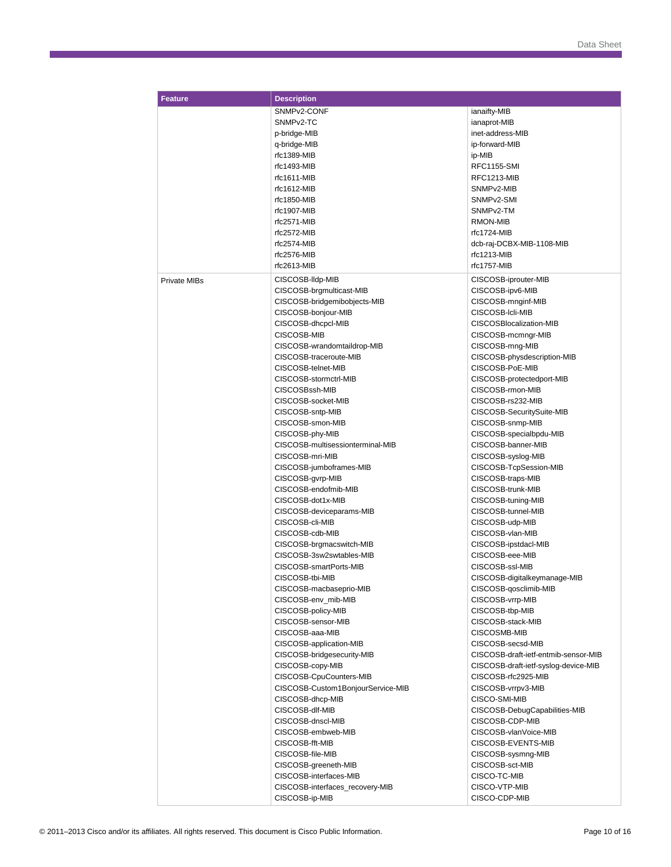| <b>Feature</b>      | <b>Description</b>                |                                      |
|---------------------|-----------------------------------|--------------------------------------|
|                     | SNMP <sub>v2</sub> -CONF          | ianaifty-MIB                         |
|                     | SNMP <sub>v2</sub> -TC            | ianaprot-MIB                         |
|                     | p-bridge-MIB                      | inet-address-MIB                     |
|                     | q-bridge-MIB                      | ip-forward-MIB                       |
|                     | rfc1389-MIB                       |                                      |
|                     |                                   | ip-MIB                               |
|                     | rfc1493-MIB                       | RFC1155-SMI                          |
|                     | rfc1611-MIB                       | RFC1213-MIB                          |
|                     | rfc1612-MIB                       | SNMPv2-MIB                           |
|                     | rfc1850-MIB                       | SNMP <sub>v2</sub> -SMI              |
|                     | rfc1907-MIB                       | SNMPv2-TM                            |
|                     | rfc2571-MIB                       | RMON-MIB                             |
|                     | rfc2572-MIB                       | rfc1724-MIB                          |
|                     | $rfc2574-MIB$                     | dcb-raj-DCBX-MIB-1108-MIB            |
|                     | rfc2576-MIB                       | rfc1213-MIB                          |
|                     | rfc2613-MIB                       | rfc1757-MIB                          |
| <b>Private MIBs</b> | CISCOSB-Ildp-MIB                  | CISCOSB-iprouter-MIB                 |
|                     | CISCOSB-brgmulticast-MIB          | CISCOSB-ipv6-MIB                     |
|                     | CISCOSB-bridgemibobjects-MIB      | CISCOSB-mnginf-MIB                   |
|                     | CISCOSB-bonjour-MIB               | CISCOSB-Icli-MIB                     |
|                     | CISCOSB-dhcpcl-MIB                | CISCOSBlocalization-MIB              |
|                     | CISCOSB-MIB                       | CISCOSB-mcmngr-MIB                   |
|                     |                                   |                                      |
|                     | CISCOSB-wrandomtaildrop-MIB       | CISCOSB-mng-MIB                      |
|                     | CISCOSB-traceroute-MIB            | CISCOSB-physdescription-MIB          |
|                     | CISCOSB-telnet-MIB                | CISCOSB-PoE-MIB                      |
|                     | CISCOSB-stormctrl-MIB             | CISCOSB-protectedport-MIB            |
|                     | CISCOSBssh-MIB                    | CISCOSB-rmon-MIB                     |
|                     | CISCOSB-socket-MIB                | CISCOSB-rs232-MIB                    |
|                     | CISCOSB-sntp-MIB                  | CISCOSB-SecuritySuite-MIB            |
|                     | CISCOSB-smon-MIB                  | CISCOSB-snmp-MIB                     |
|                     | CISCOSB-phy-MIB                   | CISCOSB-specialbpdu-MIB              |
|                     | CISCOSB-multisessionterminal-MIB  | CISCOSB-banner-MIB                   |
|                     | CISCOSB-mri-MIB                   | CISCOSB-syslog-MIB                   |
|                     | CISCOSB-jumboframes-MIB           | CISCOSB-TcpSession-MIB               |
|                     | CISCOSB-gvrp-MIB                  | CISCOSB-traps-MIB                    |
|                     | CISCOSB-endofmib-MIB              | CISCOSB-trunk-MIB                    |
|                     | CISCOSB-dot1x-MIB                 | CISCOSB-tuning-MIB                   |
|                     | CISCOSB-deviceparams-MIB          | CISCOSB-tunnel-MIB                   |
|                     |                                   |                                      |
|                     | CISCOSB-cli-MIB                   | CISCOSB-udp-MIB                      |
|                     | CISCOSB-cdb-MIB                   | CISCOSB-vlan-MIB                     |
|                     | CISCOSB-brgmacswitch-MIB          | CISCOSB-ipstdacl-MIB                 |
|                     | CISCOSB-3sw2swtables-MIB          | CISCOSB-eee-MIB                      |
|                     | CISCOSB-smartPorts-MIB            | CISCOSB-ssl-MIB                      |
|                     | CISCOSB-tbi-MIB                   | CISCOSB-digitalkeymanage-MIB         |
|                     | CISCOSB-macbaseprio-MIB           | CISCOSB-qosclimib-MIB                |
|                     | CISCOSB-env mib-MIB               | CISCOSB-vrrp-MIB                     |
|                     | CISCOSB-policy-MIB                | CISCOSB-tbp-MIB                      |
|                     | CISCOSB-sensor-MIB                | CISCOSB-stack-MIB                    |
|                     | CISCOSB-aaa-MIB                   | CISCOSMB-MIB                         |
|                     | CISCOSB-application-MIB           | CISCOSB-secsd-MIB                    |
|                     | CISCOSB-bridgesecurity-MIB        | CISCOSB-draft-ietf-entmib-sensor-MIB |
|                     | CISCOSB-copy-MIB                  | CISCOSB-draft-ietf-syslog-device-MIB |
|                     | CISCOSB-CpuCounters-MIB           | CISCOSB-rfc2925-MIB                  |
|                     |                                   |                                      |
|                     | CISCOSB-Custom1BonjourService-MIB | CISCOSB-vrrpv3-MIB                   |
|                     | CISCOSB-dhcp-MIB                  | CISCO-SMI-MIB                        |
|                     | CISCOSB-dlf-MIB                   | CISCOSB-DebugCapabilities-MIB        |
|                     | CISCOSB-dnscl-MIB                 | CISCOSB-CDP-MIB                      |
|                     | CISCOSB-embweb-MIB                | CISCOSB-vlanVoice-MIB                |
|                     | CISCOSB-fft-MIB                   | CISCOSB-EVENTS-MIB                   |
|                     | CISCOSB-file-MIB                  | CISCOSB-sysmng-MIB                   |
|                     | CISCOSB-greeneth-MIB              | CISCOSB-sct-MIB                      |
|                     | CISCOSB-interfaces-MIB            | CISCO-TC-MIB                         |
|                     | CISCOSB-interfaces_recovery-MIB   | CISCO-VTP-MIB                        |
|                     | CISCOSB-ip-MIB                    | CISCO-CDP-MIB                        |
|                     |                                   |                                      |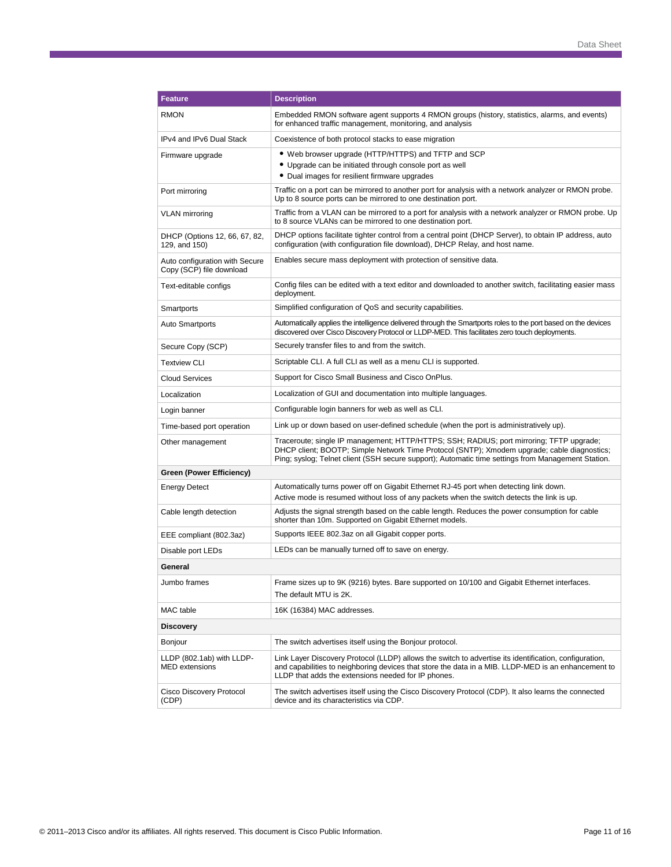| <b>Feature</b>                                             | <b>Description</b>                                                                                                                                                                                                                                                                            |  |
|------------------------------------------------------------|-----------------------------------------------------------------------------------------------------------------------------------------------------------------------------------------------------------------------------------------------------------------------------------------------|--|
| <b>RMON</b>                                                | Embedded RMON software agent supports 4 RMON groups (history, statistics, alarms, and events)<br>for enhanced traffic management, monitoring, and analysis                                                                                                                                    |  |
| IPv4 and IPv6 Dual Stack                                   | Coexistence of both protocol stacks to ease migration                                                                                                                                                                                                                                         |  |
| Firmware upgrade                                           | • Web browser upgrade (HTTP/HTTPS) and TFTP and SCP                                                                                                                                                                                                                                           |  |
|                                                            | • Upgrade can be initiated through console port as well                                                                                                                                                                                                                                       |  |
|                                                            | • Dual images for resilient firmware upgrades                                                                                                                                                                                                                                                 |  |
| Port mirroring                                             | Traffic on a port can be mirrored to another port for analysis with a network analyzer or RMON probe.<br>Up to 8 source ports can be mirrored to one destination port.                                                                                                                        |  |
| <b>VLAN</b> mirroring                                      | Traffic from a VLAN can be mirrored to a port for analysis with a network analyzer or RMON probe. Up<br>to 8 source VLANs can be mirrored to one destination port.                                                                                                                            |  |
| DHCP (Options 12, 66, 67, 82,<br>129, and 150)             | DHCP options facilitate tighter control from a central point (DHCP Server), to obtain IP address, auto<br>configuration (with configuration file download), DHCP Relay, and host name.                                                                                                        |  |
| Auto configuration with Secure<br>Copy (SCP) file download | Enables secure mass deployment with protection of sensitive data.                                                                                                                                                                                                                             |  |
| Text-editable configs                                      | Config files can be edited with a text editor and downloaded to another switch, facilitating easier mass<br>deployment.                                                                                                                                                                       |  |
| Smartports                                                 | Simplified configuration of QoS and security capabilities.                                                                                                                                                                                                                                    |  |
| <b>Auto Smartports</b>                                     | Automatically applies the intelligence delivered through the Smartports roles to the port based on the devices<br>discovered over Cisco Discovery Protocol or LLDP-MED. This facilitates zero touch deployments.                                                                              |  |
| Secure Copy (SCP)                                          | Securely transfer files to and from the switch.                                                                                                                                                                                                                                               |  |
| <b>Textview CLI</b>                                        | Scriptable CLI. A full CLI as well as a menu CLI is supported.                                                                                                                                                                                                                                |  |
| <b>Cloud Services</b>                                      | Support for Cisco Small Business and Cisco OnPlus.                                                                                                                                                                                                                                            |  |
| Localization                                               | Localization of GUI and documentation into multiple languages.                                                                                                                                                                                                                                |  |
| Login banner                                               | Configurable login banners for web as well as CLI.                                                                                                                                                                                                                                            |  |
| Time-based port operation                                  | Link up or down based on user-defined schedule (when the port is administratively up).                                                                                                                                                                                                        |  |
| Other management                                           | Traceroute; single IP management; HTTP/HTTPS; SSH; RADIUS; port mirroring; TFTP upgrade;<br>DHCP client; BOOTP; Simple Network Time Protocol (SNTP); Xmodem upgrade; cable diagnostics;<br>Ping; syslog; Telnet client (SSH secure support); Automatic time settings from Management Station. |  |
| Green (Power Efficiency)                                   |                                                                                                                                                                                                                                                                                               |  |
| <b>Energy Detect</b>                                       | Automatically turns power off on Gigabit Ethernet RJ-45 port when detecting link down.<br>Active mode is resumed without loss of any packets when the switch detects the link is up.                                                                                                          |  |
| Cable length detection                                     | Adjusts the signal strength based on the cable length. Reduces the power consumption for cable<br>shorter than 10m. Supported on Gigabit Ethernet models.                                                                                                                                     |  |
| EEE compliant (802.3az)                                    | Supports IEEE 802.3az on all Gigabit copper ports.                                                                                                                                                                                                                                            |  |
| Disable port LEDs                                          | LEDs can be manually turned off to save on energy.                                                                                                                                                                                                                                            |  |
| General                                                    |                                                                                                                                                                                                                                                                                               |  |
| Jumbo frames                                               | Frame sizes up to 9K (9216) bytes. Bare supported on 10/100 and Gigabit Ethernet interfaces.<br>The default MTU is 2K.                                                                                                                                                                        |  |
| MAC table                                                  | 16K (16384) MAC addresses.                                                                                                                                                                                                                                                                    |  |
| <b>Discovery</b>                                           |                                                                                                                                                                                                                                                                                               |  |
| Bonjour                                                    | The switch advertises itself using the Bonjour protocol.                                                                                                                                                                                                                                      |  |
| LLDP (802.1ab) with LLDP-<br><b>MED</b> extensions         | Link Layer Discovery Protocol (LLDP) allows the switch to advertise its identification, configuration,<br>and capabilities to neighboring devices that store the data in a MIB. LLDP-MED is an enhancement to<br>LLDP that adds the extensions needed for IP phones.                          |  |
| Cisco Discovery Protocol<br>(CDP)                          | The switch advertises itself using the Cisco Discovery Protocol (CDP). It also learns the connected<br>device and its characteristics via CDP.                                                                                                                                                |  |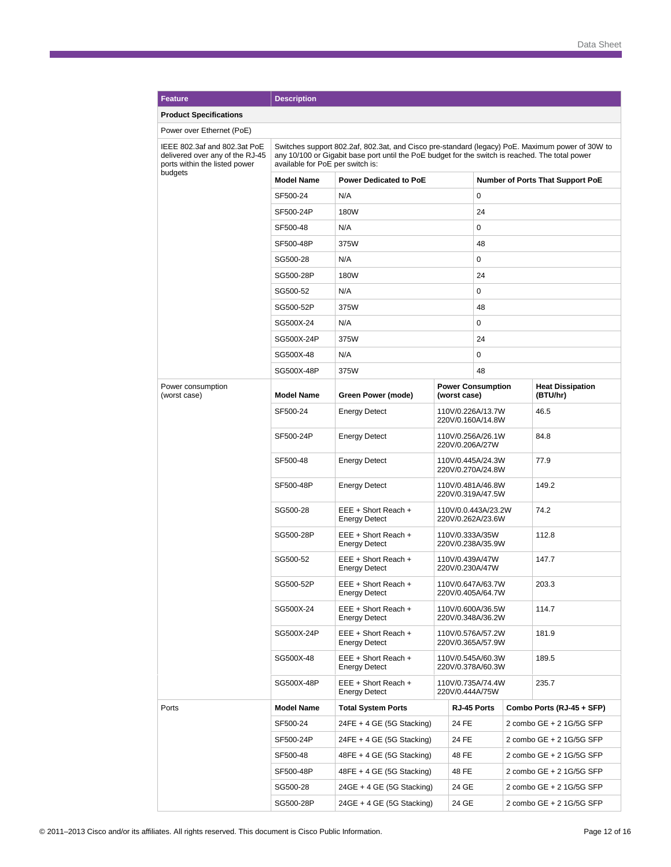| <b>Feature</b>                                                                                   | <b>Description</b>                                                                                                                                                                                                                     |                                             |                                          |                                        |                          |                                  |  |  |
|--------------------------------------------------------------------------------------------------|----------------------------------------------------------------------------------------------------------------------------------------------------------------------------------------------------------------------------------------|---------------------------------------------|------------------------------------------|----------------------------------------|--------------------------|----------------------------------|--|--|
| <b>Product Specifications</b>                                                                    |                                                                                                                                                                                                                                        |                                             |                                          |                                        |                          |                                  |  |  |
| Power over Ethernet (PoE)                                                                        |                                                                                                                                                                                                                                        |                                             |                                          |                                        |                          |                                  |  |  |
| IEEE 802.3af and 802.3at PoE<br>delivered over any of the RJ-45<br>ports within the listed power | Switches support 802.2af, 802.3at, and Cisco pre-standard (legacy) PoE. Maximum power of 30W to<br>any 10/100 or Gigabit base port until the PoE budget for the switch is reached. The total power<br>available for PoE per switch is: |                                             |                                          |                                        |                          |                                  |  |  |
| budgets                                                                                          | <b>Model Name</b>                                                                                                                                                                                                                      | <b>Power Dedicated to PoE</b>               |                                          |                                        |                          | Number of Ports That Support PoE |  |  |
|                                                                                                  | SF500-24                                                                                                                                                                                                                               | N/A                                         |                                          | 0                                      |                          |                                  |  |  |
|                                                                                                  | SF500-24P                                                                                                                                                                                                                              | 180W                                        |                                          | 24                                     |                          |                                  |  |  |
|                                                                                                  | SF500-48                                                                                                                                                                                                                               | 0<br>N/A                                    |                                          |                                        |                          |                                  |  |  |
|                                                                                                  | SF500-48P                                                                                                                                                                                                                              | 375W<br>48                                  |                                          |                                        |                          |                                  |  |  |
|                                                                                                  | SG500-28                                                                                                                                                                                                                               | N/A                                         |                                          |                                        |                          |                                  |  |  |
|                                                                                                  | SG500-28P                                                                                                                                                                                                                              | 180W                                        |                                          | 24                                     |                          |                                  |  |  |
|                                                                                                  | SG500-52                                                                                                                                                                                                                               | N/A                                         |                                          | 0                                      |                          |                                  |  |  |
|                                                                                                  | SG500-52P                                                                                                                                                                                                                              | 375W                                        |                                          | 48                                     |                          |                                  |  |  |
|                                                                                                  | SG500X-24                                                                                                                                                                                                                              | N/A                                         |                                          | 0                                      |                          |                                  |  |  |
|                                                                                                  | SG500X-24P                                                                                                                                                                                                                             | 375W                                        |                                          | 24                                     |                          |                                  |  |  |
|                                                                                                  | SG500X-48                                                                                                                                                                                                                              | N/A                                         |                                          | 0                                      |                          |                                  |  |  |
|                                                                                                  | SG500X-48P                                                                                                                                                                                                                             | 375W                                        |                                          | 48                                     |                          |                                  |  |  |
| Power consumption                                                                                |                                                                                                                                                                                                                                        |                                             | <b>Power Consumption</b>                 |                                        |                          | <b>Heat Dissipation</b>          |  |  |
| (worst case)                                                                                     | <b>Model Name</b>                                                                                                                                                                                                                      | Green Power (mode)                          |                                          | (worst case)                           |                          | (BTU/hr)                         |  |  |
|                                                                                                  | SF500-24                                                                                                                                                                                                                               | <b>Energy Detect</b>                        | 110V/0.226A/13.7W<br>220V/0.160A/14.8W   |                                        |                          | 46.5                             |  |  |
|                                                                                                  | SF500-24P                                                                                                                                                                                                                              | <b>Energy Detect</b>                        | 110V/0.256A/26.1W<br>220V/0.206A/27W     |                                        |                          | 84.8                             |  |  |
|                                                                                                  | SF500-48                                                                                                                                                                                                                               | <b>Energy Detect</b>                        | 110V/0.445A/24.3W<br>220V/0.270A/24.8W   |                                        |                          | 77.9                             |  |  |
|                                                                                                  | SF500-48P                                                                                                                                                                                                                              | <b>Energy Detect</b>                        | 110V/0.481A/46.8W<br>220V/0.319A/47.5W   |                                        |                          | 149.2                            |  |  |
|                                                                                                  | SG500-28                                                                                                                                                                                                                               | EEE + Short Reach +<br><b>Energy Detect</b> | 110V/0.0.443A/23.2W<br>220V/0.262A/23.6W |                                        |                          | 74.2                             |  |  |
|                                                                                                  | SG500-28P                                                                                                                                                                                                                              | EEE + Short Reach +<br><b>Energy Detect</b> |                                          | 110V/0.333A/35W<br>220V/0.238A/35.9W   |                          | 112.8                            |  |  |
|                                                                                                  | SG500-52                                                                                                                                                                                                                               | EEE + Short Reach +<br><b>Energy Detect</b> |                                          | 110V/0.439A/47W<br>220V/0.230A/47W     |                          | 147.7                            |  |  |
|                                                                                                  | SG500-52P                                                                                                                                                                                                                              | EEE + Short Reach +<br><b>Energy Detect</b> | 110V/0.647A/63.7W<br>220V/0.405A/64.7W   |                                        |                          | 203.3                            |  |  |
|                                                                                                  | SG500X-24                                                                                                                                                                                                                              | EEE + Short Reach +<br><b>Energy Detect</b> | 110V/0.600A/36.5W<br>220V/0.348A/36.2W   |                                        |                          | 114.7                            |  |  |
|                                                                                                  | SG500X-24P                                                                                                                                                                                                                             | EEE + Short Reach +<br><b>Energy Detect</b> |                                          | 110V/0.576A/57.2W<br>220V/0.365A/57.9W |                          | 181.9                            |  |  |
|                                                                                                  | SG500X-48                                                                                                                                                                                                                              | EEE + Short Reach +<br><b>Energy Detect</b> | 110V/0.545A/60.3W<br>220V/0.378A/60.3W   |                                        |                          | 189.5                            |  |  |
|                                                                                                  | SG500X-48P                                                                                                                                                                                                                             | EEE + Short Reach +<br><b>Energy Detect</b> | 110V/0.735A/74.4W<br>220V/0.444A/75W     |                                        |                          | 235.7                            |  |  |
| Ports                                                                                            | <b>Model Name</b>                                                                                                                                                                                                                      | <b>Total System Ports</b>                   |                                          | RJ-45 Ports                            |                          | Combo Ports (RJ-45 + SFP)        |  |  |
|                                                                                                  | SF500-24                                                                                                                                                                                                                               | 24FE + 4 GE (5G Stacking)<br>24 FE          |                                          |                                        | 2 combo GE + 2 1G/5G SFP |                                  |  |  |
|                                                                                                  | SF500-24P                                                                                                                                                                                                                              | 24FE + 4 GE (5G Stacking)<br>24 FE          |                                          |                                        | 2 combo GE + 2 1G/5G SFP |                                  |  |  |
|                                                                                                  | SF500-48                                                                                                                                                                                                                               | 48 FE<br>$48FE + 4 GE (5G Stacking)$        |                                          |                                        | 2 combo GE + 2 1G/5G SFP |                                  |  |  |
|                                                                                                  | SF500-48P                                                                                                                                                                                                                              | 48 FE<br>$48FE + 4 GE (5G Stacking)$        |                                          |                                        | 2 combo GE + 2 1G/5G SFP |                                  |  |  |
|                                                                                                  | SG500-28                                                                                                                                                                                                                               | 24GE + 4 GE (5G Stacking)                   | 24 GE                                    |                                        | 2 combo GE + 2 1G/5G SFP |                                  |  |  |
|                                                                                                  | SG500-28P                                                                                                                                                                                                                              | 24 GE<br>24GE + 4 GE (5G Stacking)          |                                          |                                        | 2 combo GE + 2 1G/5G SFP |                                  |  |  |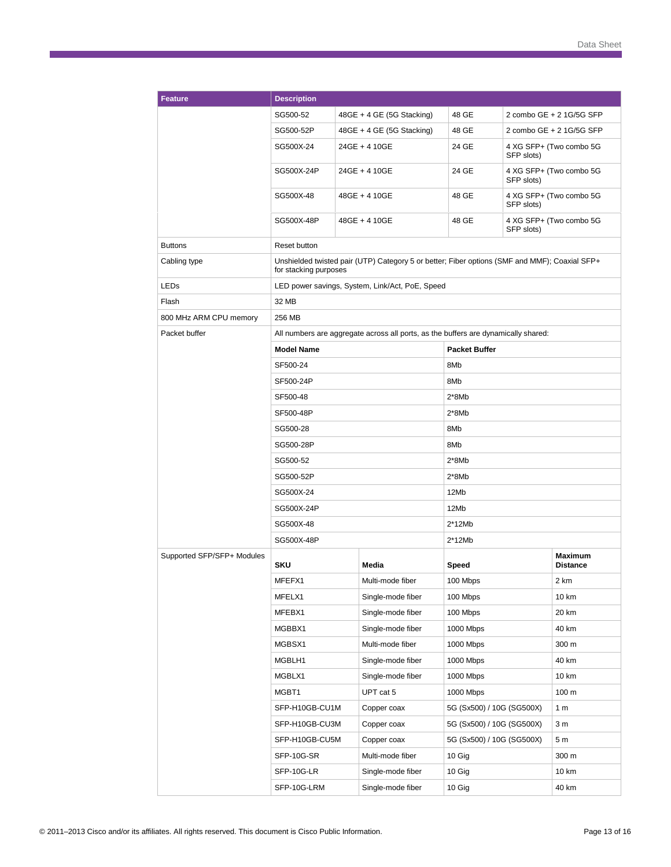| <b>Feature</b>             | <b>Description</b>                                                                                                     |  |                                                                                    |                           |            |                            |  |
|----------------------------|------------------------------------------------------------------------------------------------------------------------|--|------------------------------------------------------------------------------------|---------------------------|------------|----------------------------|--|
|                            | SG500-52                                                                                                               |  | 48GE + 4 GE (5G Stacking)                                                          | 48 GE                     |            | 2 combo GE + 2 1G/5G SFP   |  |
|                            | SG500-52P                                                                                                              |  | 48GE + 4 GE (5G Stacking)                                                          | 48 GE                     |            | 2 combo GE + 2 1G/5G SFP   |  |
|                            | SG500X-24                                                                                                              |  | 24GE + 4 10GE                                                                      | 24 GE                     | SFP slots) | 4 XG SFP+ (Two combo 5G    |  |
|                            | SG500X-24P                                                                                                             |  | 24GE + 4 10GE                                                                      | 24 GE                     | SFP slots) | 4 XG SFP+ (Two combo 5G    |  |
|                            | SG500X-48                                                                                                              |  | 48GE + 4 10GE                                                                      | 48 GE                     | SFP slots) | 4 XG SFP+ (Two combo 5G    |  |
|                            | SG500X-48P                                                                                                             |  | 48GE + 4 10GE                                                                      | 48 GE                     | SFP slots) | 4 XG SFP+ (Two combo 5G    |  |
| <b>Buttons</b>             | Reset button                                                                                                           |  |                                                                                    |                           |            |                            |  |
| Cabling type               | Unshielded twisted pair (UTP) Category 5 or better; Fiber options (SMF and MMF); Coaxial SFP+<br>for stacking purposes |  |                                                                                    |                           |            |                            |  |
| LED <sub>s</sub>           |                                                                                                                        |  | LED power savings, System, Link/Act, PoE, Speed                                    |                           |            |                            |  |
| Flash                      | 32 MB                                                                                                                  |  |                                                                                    |                           |            |                            |  |
| 800 MHz ARM CPU memory     | 256 MB                                                                                                                 |  |                                                                                    |                           |            |                            |  |
| Packet buffer              |                                                                                                                        |  | All numbers are aggregate across all ports, as the buffers are dynamically shared: |                           |            |                            |  |
|                            | <b>Model Name</b>                                                                                                      |  |                                                                                    | <b>Packet Buffer</b>      |            |                            |  |
|                            | SF500-24                                                                                                               |  |                                                                                    | 8M <sub>b</sub>           |            |                            |  |
|                            | SF500-24P                                                                                                              |  |                                                                                    | 8Mb                       |            |                            |  |
|                            | SF500-48                                                                                                               |  |                                                                                    | $2*8Mb$                   |            |                            |  |
|                            | SF500-48P<br>SG500-28<br>SG500-28P<br>SG500-52<br>SG500-52P<br>SG500X-24                                               |  |                                                                                    | $2*8Mb$                   |            |                            |  |
|                            |                                                                                                                        |  |                                                                                    | 8M <sub>b</sub>           |            |                            |  |
|                            |                                                                                                                        |  |                                                                                    | 8Mb                       |            |                            |  |
|                            |                                                                                                                        |  |                                                                                    | $2*8Mb$                   |            |                            |  |
|                            |                                                                                                                        |  | $2*8Mb$                                                                            |                           |            |                            |  |
|                            |                                                                                                                        |  | 12Mb                                                                               |                           |            |                            |  |
|                            | SG500X-24P                                                                                                             |  |                                                                                    | 12Mb                      |            |                            |  |
|                            | SG500X-48                                                                                                              |  |                                                                                    | $2*12Mb$                  |            |                            |  |
|                            | SG500X-48P                                                                                                             |  |                                                                                    | $2*12Mb$                  |            |                            |  |
| Supported SFP/SFP+ Modules | <b>SKU</b>                                                                                                             |  | Media                                                                              | <b>Speed</b>              |            | Maximum<br><b>Distance</b> |  |
|                            | MFEFX1                                                                                                                 |  | Multi-mode fiber                                                                   | 100 Mbps                  |            | 2 km                       |  |
|                            | MFELX1                                                                                                                 |  | Single-mode fiber                                                                  | 100 Mbps                  |            | 10 km                      |  |
|                            | MFEBX1                                                                                                                 |  | Single-mode fiber                                                                  | 100 Mbps                  |            | 20 km                      |  |
|                            | MGBBX1                                                                                                                 |  | Single-mode fiber                                                                  | 1000 Mbps                 |            | 40 km                      |  |
|                            | MGBSX1                                                                                                                 |  | Multi-mode fiber                                                                   | 1000 Mbps                 |            | 300 m                      |  |
|                            | MGBLH1                                                                                                                 |  | Single-mode fiber                                                                  | 1000 Mbps                 |            | 40 km                      |  |
|                            | MGBLX1                                                                                                                 |  | Single-mode fiber                                                                  | 1000 Mbps                 |            | 10 km                      |  |
|                            | MGBT1                                                                                                                  |  | UPT cat 5                                                                          | 1000 Mbps                 |            | 100 m                      |  |
|                            | SFP-H10GB-CU1M                                                                                                         |  | Copper coax                                                                        | 5G (Sx500) / 10G (SG500X) |            | 1 <sub>m</sub>             |  |
|                            | SFP-H10GB-CU3M                                                                                                         |  | Copper coax                                                                        | 5G (Sx500) / 10G (SG500X) |            | 3 <sub>m</sub>             |  |
|                            | SFP-H10GB-CU5M                                                                                                         |  | Copper coax                                                                        | 5G (Sx500) / 10G (SG500X) |            | 5m                         |  |
|                            | SFP-10G-SR                                                                                                             |  | Multi-mode fiber                                                                   | 10 Gig                    |            | 300 m                      |  |
|                            | SFP-10G-LR                                                                                                             |  | Single-mode fiber                                                                  | 10 Gig                    |            | 10 km                      |  |
|                            | SFP-10G-LRM                                                                                                            |  | Single-mode fiber                                                                  | 10 Gig                    |            | 40 km                      |  |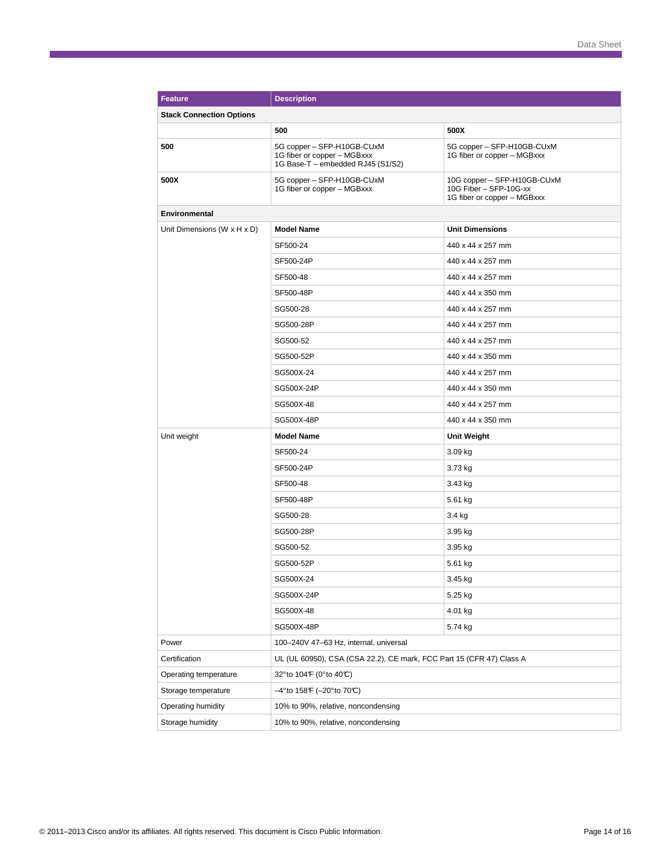| <b>Feature</b>                  | <b>Description</b>                                                                             |                                                                                      |  |  |
|---------------------------------|------------------------------------------------------------------------------------------------|--------------------------------------------------------------------------------------|--|--|
| <b>Stack Connection Options</b> |                                                                                                |                                                                                      |  |  |
|                                 | 500                                                                                            | 500X                                                                                 |  |  |
| 500                             | 5G copper - SFP-H10GB-CUxM<br>1G fiber or copper - MGBxxx<br>1G Base-T - embedded RJ45 (S1/S2) | 5G copper - SFP-H10GB-CUxM<br>1G fiber or copper - MGBxxx                            |  |  |
| 500X                            | 5G copper - SFP-H10GB-CUxM<br>1G fiber or copper - MGBxxx                                      | 10G copper - SFP-H10GB-CUxM<br>10G Fiber - SFP-10G-xx<br>1G fiber or copper - MGBxxx |  |  |
| <b>Environmental</b>            |                                                                                                |                                                                                      |  |  |
| Unit Dimensions (W x H x D)     | <b>Model Name</b>                                                                              | <b>Unit Dimensions</b>                                                               |  |  |
|                                 | SF500-24                                                                                       | 440 x 44 x 257 mm                                                                    |  |  |
|                                 | SF500-24P                                                                                      | 440 x 44 x 257 mm                                                                    |  |  |
|                                 | SF500-48                                                                                       | 440 x 44 x 257 mm                                                                    |  |  |
|                                 | SF500-48P                                                                                      | 440 x 44 x 350 mm                                                                    |  |  |
|                                 | SG500-28                                                                                       | 440 x 44 x 257 mm                                                                    |  |  |
|                                 | SG500-28P                                                                                      | 440 x 44 x 257 mm                                                                    |  |  |
|                                 | SG500-52                                                                                       | 440 x 44 x 257 mm                                                                    |  |  |
|                                 | SG500-52P                                                                                      | 440 x 44 x 350 mm                                                                    |  |  |
|                                 | SG500X-24                                                                                      | 440 x 44 x 257 mm                                                                    |  |  |
|                                 | SG500X-24P                                                                                     | 440 x 44 x 350 mm                                                                    |  |  |
|                                 | SG500X-48                                                                                      | 440 x 44 x 257 mm                                                                    |  |  |
|                                 | SG500X-48P                                                                                     | 440 x 44 x 350 mm                                                                    |  |  |
| Unit weight                     | <b>Model Name</b>                                                                              | <b>Unit Weight</b>                                                                   |  |  |
|                                 | SF500-24                                                                                       | 3.09 kg                                                                              |  |  |
|                                 | SF500-24P                                                                                      | 3.73 kg                                                                              |  |  |
|                                 | SF500-48                                                                                       | 3.43 kg                                                                              |  |  |
|                                 | SF500-48P                                                                                      | 5.61 kg                                                                              |  |  |
|                                 | SG500-28                                                                                       | 3.4 kg                                                                               |  |  |
|                                 | SG500-28P                                                                                      | 3.95 kg                                                                              |  |  |
|                                 | SG500-52                                                                                       | 3.95 kg                                                                              |  |  |
|                                 | SG500-52P                                                                                      | 5.61 kg                                                                              |  |  |
|                                 | SG500X-24                                                                                      | 3.45 kg                                                                              |  |  |
|                                 | SG500X-24P                                                                                     | 5.25 kg                                                                              |  |  |
|                                 | SG500X-48                                                                                      | 4.01 kg                                                                              |  |  |
|                                 | SG500X-48P                                                                                     | 5.74 kg                                                                              |  |  |
| Power                           | 100-240V 47-63 Hz, internal, universal                                                         |                                                                                      |  |  |
| Certification                   | UL (UL 60950), CSA (CSA 22.2), CE mark, FCC Part 15 (CFR 47) Class A                           |                                                                                      |  |  |
| Operating temperature           | 32° to 104° (0° to 40°C)                                                                       |                                                                                      |  |  |
| Storage temperature             | –4°to 158年 (–20°to 70℃)                                                                        |                                                                                      |  |  |
| Operating humidity              | 10% to 90%, relative, noncondensing                                                            |                                                                                      |  |  |
| Storage humidity                | 10% to 90%, relative, noncondensing                                                            |                                                                                      |  |  |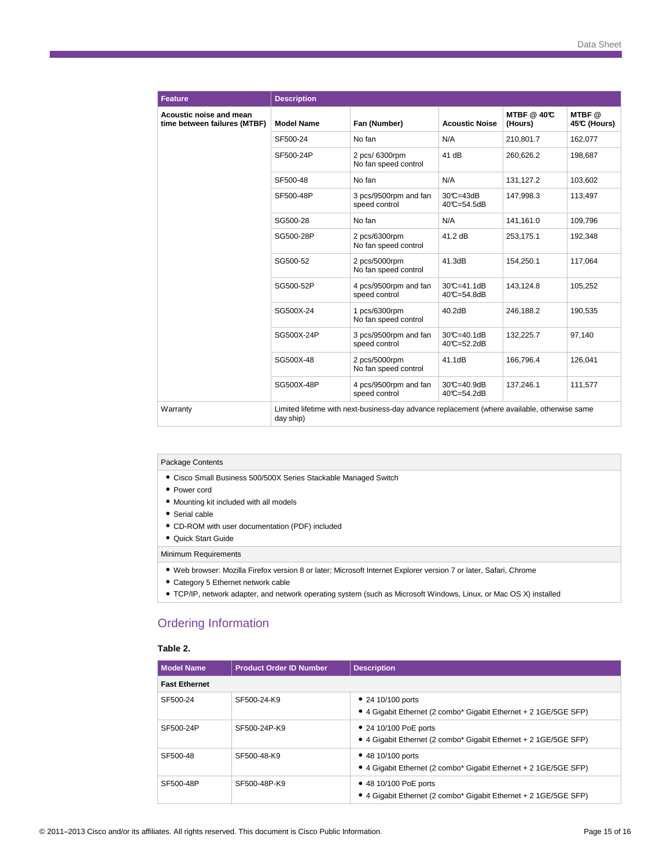| <b>Feature</b>                                          | <b>Description</b> |                                                                                              |                               |                              |                      |
|---------------------------------------------------------|--------------------|----------------------------------------------------------------------------------------------|-------------------------------|------------------------------|----------------------|
| Acoustic noise and mean<br>time between failures (MTBF) | <b>Model Name</b>  | Fan (Number)                                                                                 | <b>Acoustic Noise</b>         | <b>MTBF</b> @ 40℃<br>(Hours) | MTBF@<br>45℃ (Hours) |
|                                                         | SF500-24           | No fan                                                                                       | N/A                           | 210,801.7                    | 162.077              |
|                                                         | SF500-24P          | 2 pcs/ 6300rpm<br>No fan speed control                                                       | 41 dB                         | 260.626.2                    | 198.687              |
|                                                         | SF500-48           | No fan                                                                                       | N/A                           | 131.127.2                    | 103.602              |
|                                                         | SF500-48P          | 3 pcs/9500rpm and fan<br>speed control                                                       | $30C = 43dB$<br>40°C=54.5dB   | 147,998.3                    | 113,497              |
|                                                         | SG500-28           | No fan                                                                                       | N/A                           | 141,161.0                    | 109,796              |
|                                                         | SG500-28P          | 2 pcs/6300rpm<br>No fan speed control                                                        | 41.2 dB                       | 253,175.1                    | 192,348              |
|                                                         | SG500-52           | 2 pcs/5000rpm<br>No fan speed control                                                        | 41.3dB                        | 154,250.1                    | 117,064              |
|                                                         | SG500-52P          | 4 pcs/9500rpm and fan<br>speed control                                                       | $30C = 41.1dB$<br>40°C=54.8dB | 143,124.8                    | 105,252              |
|                                                         | SG500X-24          | 1 pcs/6300rpm<br>No fan speed control                                                        | 40.2dB                        | 246.188.2                    | 190,535              |
|                                                         | SG500X-24P         | 3 pcs/9500rpm and fan<br>speed control                                                       | $30C = 40.1dB$<br>40°C=52.2dB | 132,225.7                    | 97,140               |
|                                                         | SG500X-48          | 2 pcs/5000rpm<br>No fan speed control                                                        | 41.1dB                        | 166.796.4                    | 126.041              |
|                                                         | SG500X-48P         | 4 pcs/9500rpm and fan<br>speed control                                                       | 30°C=40.9dB<br>40°C=54.2dB    | 137.246.1                    | 111.577              |
| Warranty                                                | day ship)          | Limited lifetime with next-business-day advance replacement (where available, otherwise same |                               |                              |                      |

#### Package Contents

- Cisco Small Business 500/500X Series Stackable Managed Switch
- Power cord
- Mounting kit included with all models
- Serial cable
- CD-ROM with user documentation (PDF) included
- Quick Start Guide

#### Minimum Requirements

- Web browser: Mozilla Firefox version 8 or later; Microsoft Internet Explorer version 7 or later, Safari, Chrome
- Category 5 Ethernet network cable
- TCP/IP, network adapter, and network operating system (such as Microsoft Windows, Linux, or Mac OS X) installed

# Ordering Information

#### **Table 2.**

| <b>Model Name</b>    | <b>Product Order ID Number</b> | <b>Description</b>                                                                          |  |  |  |
|----------------------|--------------------------------|---------------------------------------------------------------------------------------------|--|--|--|
| <b>Fast Ethernet</b> |                                |                                                                                             |  |  |  |
| SF500-24             | SF500-24-K9                    | • 24 10/100 ports<br>• 4 Gigabit Ethernet (2 combo* Gigabit Ethernet + 2 1 GE/5 GE SFP)     |  |  |  |
| SF500-24P            | SF500-24P-K9                   | • 24 10/100 PoE ports<br>• 4 Gigabit Ethernet (2 combo* Gigabit Ethernet + 2 1 GE/5 GE SFP) |  |  |  |
| SF500-48             | SF500-48-K9                    | • 48 10/100 ports<br>• 4 Gigabit Ethernet (2 combo* Gigabit Ethernet + 2 1 GE/5 GE SFP)     |  |  |  |
| SF500-48P            | SF500-48P-K9                   | • 48 10/100 PoE ports<br>• 4 Gigabit Ethernet (2 combo* Gigabit Ethernet + 2 1 GE/5 GE SFP) |  |  |  |